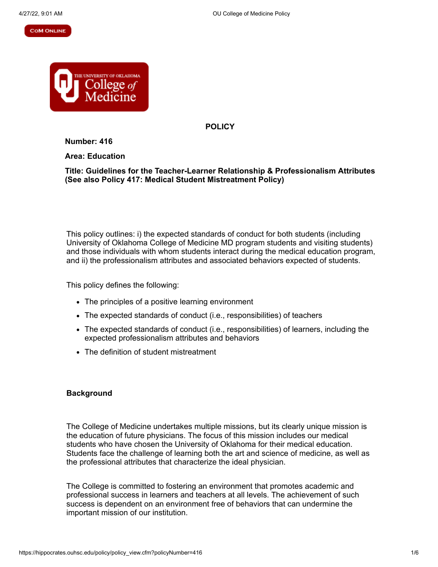#### **COM ONLINE**



**POLICY**

**Number: 416**

**Area: Education**

**Title: Guidelines for the Teacher-Learner Relationship & Professionalism Attributes (See also Policy 417: Medical Student Mistreatment Policy)**

This policy outlines: i) the expected standards of conduct for both students (including University of Oklahoma College of Medicine MD program students and visiting students) and those individuals with whom students interact during the medical education program, and ii) the professionalism attributes and associated behaviors expected of students.

This policy defines the following:

- The principles of a positive learning environment
- The expected standards of conduct (i.e., responsibilities) of teachers
- The expected standards of conduct (i.e., responsibilities) of learners, including the expected professionalism attributes and behaviors
- The definition of student mistreatment

## **Background**

The College of Medicine undertakes multiple missions, but its clearly unique mission is the education of future physicians. The focus of this mission includes our medical students who have chosen the University of Oklahoma for their medical education. Students face the challenge of learning both the art and science of medicine, as well as the professional attributes that characterize the ideal physician.

The College is committed to fostering an environment that promotes academic and professional success in learners and teachers at all levels. The achievement of such success is dependent on an environment free of behaviors that can undermine the important mission of our institution.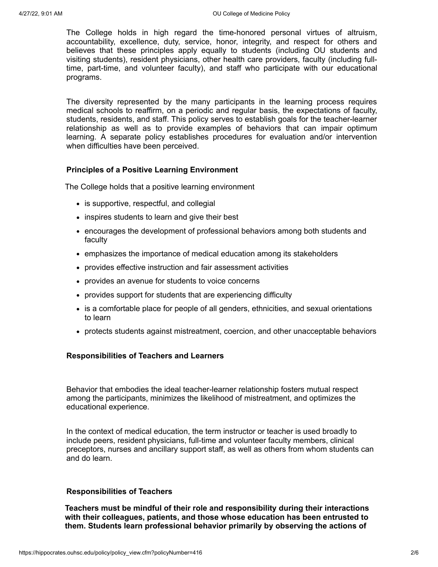The College holds in high regard the time-honored personal virtues of altruism, accountability, excellence, duty, service, honor, integrity, and respect for others and believes that these principles apply equally to students (including OU students and visiting students), resident physicians, other health care providers, faculty (including fulltime, part-time, and volunteer faculty), and staff who participate with our educational programs.

The diversity represented by the many participants in the learning process requires medical schools to reaffirm, on a periodic and regular basis, the expectations of faculty, students, residents, and staff. This policy serves to establish goals for the teacher-learner relationship as well as to provide examples of behaviors that can impair optimum learning. A separate policy establishes procedures for evaluation and/or intervention when difficulties have been perceived.

# **Principles of a Positive Learning Environment**

The College holds that a positive learning environment

- is supportive, respectful, and collegial
- inspires students to learn and give their best
- encourages the development of professional behaviors among both students and faculty
- emphasizes the importance of medical education among its stakeholders
- provides effective instruction and fair assessment activities
- provides an avenue for students to voice concerns
- provides support for students that are experiencing difficulty
- is a comfortable place for people of all genders, ethnicities, and sexual orientations to learn
- protects students against mistreatment, coercion, and other unacceptable behaviors

## **Responsibilities of Teachers and Learners**

Behavior that embodies the ideal teacher-learner relationship fosters mutual respect among the participants, minimizes the likelihood of mistreatment, and optimizes the educational experience.

In the context of medical education, the term instructor or teacher is used broadly to include peers, resident physicians, full-time and volunteer faculty members, clinical preceptors, nurses and ancillary support staff, as well as others from whom students can and do learn.

## **Responsibilities of Teachers**

**Teachers must be mindful of their role and responsibility during their interactions with their colleagues, patients, and those whose education has been entrusted to them. Students learn professional behavior primarily by observing the actions of**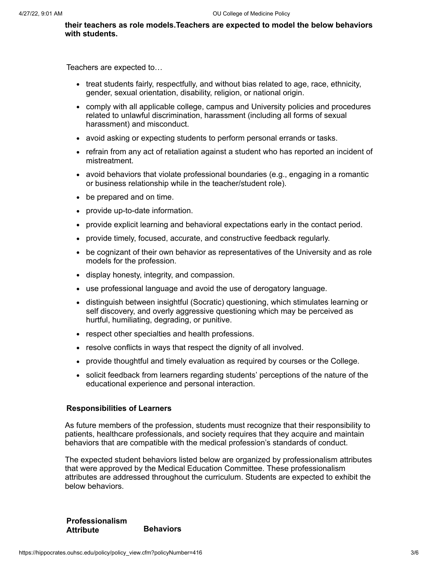**their teachers as role models.Teachers are expected to model the below behaviors with students.**

Teachers are expected to…

- treat students fairly, respectfully, and without bias related to age, race, ethnicity, gender, sexual orientation, disability, religion, or national origin.
- comply with all applicable college, campus and University policies and procedures related to unlawful discrimination, harassment (including all forms of sexual harassment) and misconduct.
- avoid asking or expecting students to perform personal errands or tasks.
- refrain from any act of retaliation against a student who has reported an incident of mistreatment.
- $\bullet$  avoid behaviors that violate professional boundaries (e.g., engaging in a romantic or business relationship while in the teacher/student role).
- be prepared and on time.
- provide up-to-date information.
- provide explicit learning and behavioral expectations early in the contact period.
- provide timely, focused, accurate, and constructive feedback regularly.
- be cognizant of their own behavior as representatives of the University and as role models for the profession.
- display honesty, integrity, and compassion.
- use professional language and avoid the use of derogatory language.
- distinguish between insightful (Socratic) questioning, which stimulates learning or self discovery, and overly aggressive questioning which may be perceived as hurtful, humiliating, degrading, or punitive.
- respect other specialties and health professions.
- resolve conflicts in ways that respect the dignity of all involved.
- provide thoughtful and timely evaluation as required by courses or the College.
- solicit feedback from learners regarding students' perceptions of the nature of the educational experience and personal interaction.

#### **Responsibilities of Learners**

As future members of the profession, students must recognize that their responsibility to patients, healthcare professionals, and society requires that they acquire and maintain behaviors that are compatible with the medical profession's standards of conduct.

The expected student behaviors listed below are organized by professionalism attributes that were approved by the Medical Education Committee. These professionalism attributes are addressed throughout the curriculum. Students are expected to exhibit the below behaviors.

**Professionalism Attribute Behaviors**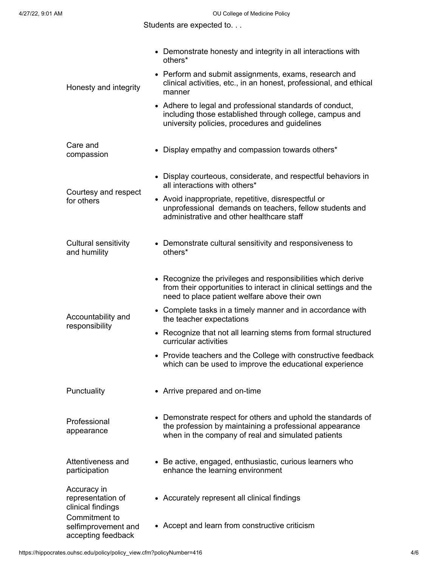Students are expected to. . .

| Honesty and integrity                                                                                               | • Demonstrate honesty and integrity in all interactions with<br>others*                                                                                                            |
|---------------------------------------------------------------------------------------------------------------------|------------------------------------------------------------------------------------------------------------------------------------------------------------------------------------|
|                                                                                                                     | • Perform and submit assignments, exams, research and<br>clinical activities, etc., in an honest, professional, and ethical<br>manner                                              |
|                                                                                                                     | • Adhere to legal and professional standards of conduct,<br>including those established through college, campus and<br>university policies, procedures and guidelines              |
| Care and<br>compassion                                                                                              | • Display empathy and compassion towards others*                                                                                                                                   |
| Courtesy and respect<br>for others                                                                                  | • Display courteous, considerate, and respectful behaviors in<br>all interactions with others*                                                                                     |
|                                                                                                                     | • Avoid inappropriate, repetitive, disrespectful or<br>unprofessional demands on teachers, fellow students and<br>administrative and other healthcare staff                        |
| Cultural sensitivity<br>and humility                                                                                | • Demonstrate cultural sensitivity and responsiveness to<br>others*                                                                                                                |
| Accountability and<br>responsibility                                                                                | • Recognize the privileges and responsibilities which derive<br>from their opportunities to interact in clinical settings and the<br>need to place patient welfare above their own |
|                                                                                                                     | • Complete tasks in a timely manner and in accordance with<br>the teacher expectations                                                                                             |
|                                                                                                                     | • Recognize that not all learning stems from formal structured<br>curricular activities                                                                                            |
|                                                                                                                     | • Provide teachers and the College with constructive feedback<br>which can be used to improve the educational experience                                                           |
| Punctuality                                                                                                         | • Arrive prepared and on-time                                                                                                                                                      |
| Professional<br>appearance                                                                                          | • Demonstrate respect for others and uphold the standards of<br>the profession by maintaining a professional appearance<br>when in the company of real and simulated patients      |
| Attentiveness and<br>participation                                                                                  | • Be active, engaged, enthusiastic, curious learners who<br>enhance the learning environment                                                                                       |
| Accuracy in<br>representation of<br>clinical findings<br>Commitment to<br>selfimprovement and<br>accepting feedback | • Accurately represent all clinical findings                                                                                                                                       |
|                                                                                                                     | • Accept and learn from constructive criticism                                                                                                                                     |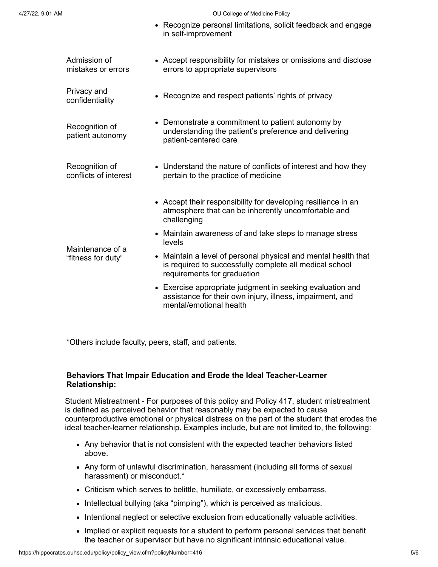#### 4/27/22, 9:01 AM OU College of Medicine Policy

• Recognize personal limitations, solicit feedback and engage

in self-improvement Admission of mistakes or errors Accept responsibility for mistakes or omissions and disclose errors to appropriate supervisors Privacy and confidentiality Recognize and respect patients' rights of privacy Recognition of patient autonomy Demonstrate a commitment to patient autonomy by understanding the patient's preference and delivering patient-centered care Recognition of conflicts of interest Understand the nature of conflicts of interest and how they pertain to the practice of medicine Maintenance of a "fitness for duty" Accept their responsibility for developing resilience in an atmosphere that can be inherently uncomfortable and challenging • Maintain awareness of and take steps to manage stress levels Maintain a level of personal physical and mental health that is required to successfully complete all medical school requirements for graduation Exercise appropriate judgment in seeking evaluation and assistance for their own injury, illness, impairment, and mental/emotional health

\*Others include faculty, peers, staff, and patients.

# **Behaviors That Impair Education and Erode the Ideal Teacher-Learner Relationship:**

Student Mistreatment - For purposes of this policy and Policy 417, student mistreatment is defined as perceived behavior that reasonably may be expected to cause counterproductive emotional or physical distress on the part of the student that erodes the ideal teacher-learner relationship. Examples include, but are not limited to, the following:

- Any behavior that is not consistent with the expected teacher behaviors listed above.
- Any form of unlawful discrimination, harassment (including all forms of sexual harassment) or misconduct.\*
- Criticism which serves to belittle, humiliate, or excessively embarrass.
- Intellectual bullying (aka "pimping"), which is perceived as malicious.
- Intentional neglect or selective exclusion from educationally valuable activities.
- Implied or explicit requests for a student to perform personal services that benefit the teacher or supervisor but have no significant intrinsic educational value.